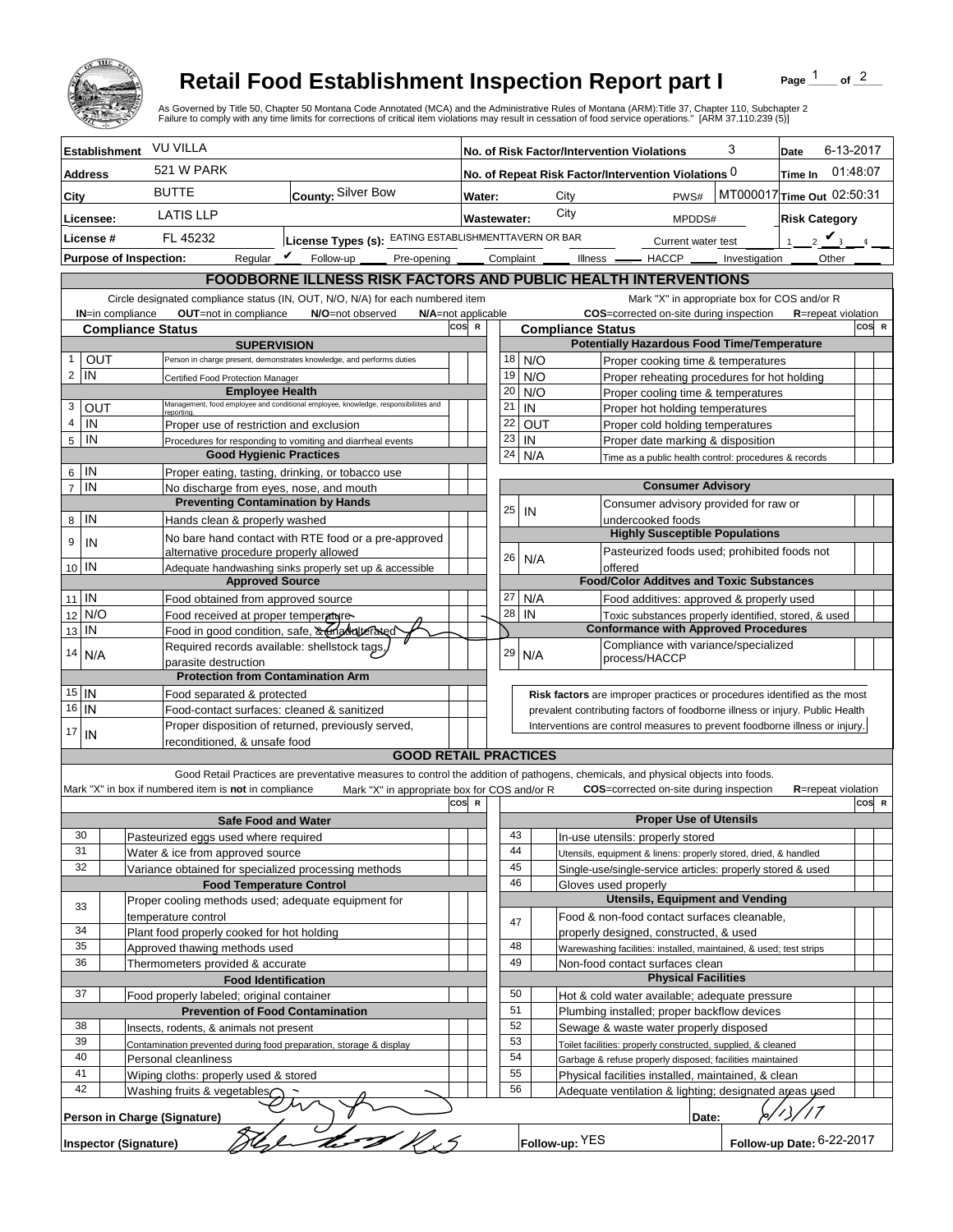

## **Retail Food Establishment Inspection Report part I**

Page  $\frac{1}{1}$  of  $\frac{2}{1}$ 

|                                                                                                                                |                                                                           |                                                                                                                                | <b>Retail Food Establishment Inspection Report part I</b><br>As Governed by Title 50, Chapter 50 Montana Code Annotated (MCA) and the Administrative Rules of Montana (ARM):Title 37, Chapter 110, Subchapter 2<br>Failure to comply with any time limits for corrections of critical item violations may result in cessation of food service operations." [ARM 37.110.239 (5)] |       |                                                                                                                             |                                                                                                          |                          |                                                        |                                                                                  |                             | Page                       | of $^2$   |       |
|--------------------------------------------------------------------------------------------------------------------------------|---------------------------------------------------------------------------|--------------------------------------------------------------------------------------------------------------------------------|---------------------------------------------------------------------------------------------------------------------------------------------------------------------------------------------------------------------------------------------------------------------------------------------------------------------------------------------------------------------------------|-------|-----------------------------------------------------------------------------------------------------------------------------|----------------------------------------------------------------------------------------------------------|--------------------------|--------------------------------------------------------|----------------------------------------------------------------------------------|-----------------------------|----------------------------|-----------|-------|
|                                                                                                                                | <b>Establishment</b>                                                      | <b>VU VILLA</b>                                                                                                                |                                                                                                                                                                                                                                                                                                                                                                                 |       |                                                                                                                             |                                                                                                          |                          |                                                        | No. of Risk Factor/Intervention Violations                                       | 3                           | Date                       | 6-13-2017 |       |
| <b>Address</b>                                                                                                                 |                                                                           | <b>521 W PARK</b>                                                                                                              |                                                                                                                                                                                                                                                                                                                                                                                 |       |                                                                                                                             |                                                                                                          |                          |                                                        | No. of Repeat Risk Factor/Intervention Violations 0                              |                             | Time In                    | 01:48:07  |       |
| City                                                                                                                           |                                                                           | <b>BUTTE</b><br>County: Silver Bow                                                                                             |                                                                                                                                                                                                                                                                                                                                                                                 |       | MT000017 Time Out 02:50:31<br>City<br>PWS#<br>Water:                                                                        |                                                                                                          |                          |                                                        |                                                                                  |                             |                            |           |       |
| Licensee:                                                                                                                      |                                                                           | <b>LATIS LLP</b>                                                                                                               |                                                                                                                                                                                                                                                                                                                                                                                 |       | City<br><b>Wastewater:</b><br>MPDDS#                                                                                        |                                                                                                          |                          |                                                        |                                                                                  | <b>Risk Category</b>        |                            |           |       |
| License #                                                                                                                      |                                                                           | License Types (s): EATING ESTABLISHMENTTAVERN OR BAR<br>FL 45232                                                               |                                                                                                                                                                                                                                                                                                                                                                                 |       | Current water test                                                                                                          |                                                                                                          |                          |                                                        |                                                                                  | $2 \mathbf{V}$<br>$1 \quad$ |                            |           |       |
|                                                                                                                                | <b>Purpose of Inspection:</b>                                             | Regular $\boldsymbol{V}$<br>Follow-up ___                                                                                      |                                                                                                                                                                                                                                                                                                                                                                                 |       |                                                                                                                             |                                                                                                          |                          |                                                        | Pre-opening ______ Complaint ______ Illness ______ HACCP ______ Investigation __ |                             | <b>Other</b>               |           |       |
|                                                                                                                                |                                                                           |                                                                                                                                | FOODBORNE ILLNESS RISK FACTORS AND PUBLIC HEALTH INTERVENTIONS                                                                                                                                                                                                                                                                                                                  |       |                                                                                                                             |                                                                                                          |                          |                                                        |                                                                                  |                             |                            |           |       |
| Circle designated compliance status (IN, OUT, N/O, N/A) for each numbered item<br>Mark "X" in appropriate box for COS and/or R |                                                                           |                                                                                                                                |                                                                                                                                                                                                                                                                                                                                                                                 |       |                                                                                                                             |                                                                                                          |                          |                                                        |                                                                                  |                             |                            |           |       |
| OUT=not in compliance<br>N/O=not observed<br>N/A=not applicable<br><b>IN=in compliance</b>                                     |                                                                           |                                                                                                                                |                                                                                                                                                                                                                                                                                                                                                                                 |       |                                                                                                                             |                                                                                                          |                          |                                                        | <b>COS</b> =corrected on-site during inspection                                  |                             | <b>R</b> =repeat violation |           |       |
| COS R<br><b>Compliance Status</b><br><b>SUPERVISION</b>                                                                        |                                                                           |                                                                                                                                |                                                                                                                                                                                                                                                                                                                                                                                 |       |                                                                                                                             |                                                                                                          | <b>Compliance Status</b> |                                                        | <b>Potentially Hazardous Food Time/Temperature</b>                               |                             |                            |           | COS R |
| OUT<br>1                                                                                                                       |                                                                           |                                                                                                                                | Person in charge present, demonstrates knowledge, and performs duties                                                                                                                                                                                                                                                                                                           |       | 18                                                                                                                          | N/O                                                                                                      |                          |                                                        | Proper cooking time & temperatures                                               |                             |                            |           |       |
| $\overline{c}$<br>IN                                                                                                           |                                                                           | Certified Food Protection Manager                                                                                              |                                                                                                                                                                                                                                                                                                                                                                                 |       | 19                                                                                                                          | N/O                                                                                                      |                          |                                                        | Proper reheating procedures for hot holding                                      |                             |                            |           |       |
|                                                                                                                                |                                                                           | <b>Employee Health</b>                                                                                                         |                                                                                                                                                                                                                                                                                                                                                                                 |       | 20                                                                                                                          | N/O                                                                                                      |                          |                                                        | Proper cooling time & temperatures                                               |                             |                            |           |       |
| 3<br>OUT<br>4<br>IN                                                                                                            |                                                                           | Management, food employee and conditional employee, knowledge, responsibiliites and<br>Proper use of restriction and exclusion |                                                                                                                                                                                                                                                                                                                                                                                 |       | 21<br>22                                                                                                                    | IN<br>OUT                                                                                                |                          |                                                        | Proper hot holding temperatures<br>Proper cold holding temperatures              |                             |                            |           |       |
| 5<br>IN                                                                                                                        |                                                                           |                                                                                                                                | Procedures for responding to vomiting and diarrheal events                                                                                                                                                                                                                                                                                                                      |       | 23                                                                                                                          | IN                                                                                                       |                          |                                                        | Proper date marking & disposition                                                |                             |                            |           |       |
|                                                                                                                                | <b>Good Hygienic Practices</b>                                            |                                                                                                                                |                                                                                                                                                                                                                                                                                                                                                                                 |       | 24                                                                                                                          | N/A                                                                                                      |                          |                                                        | Time as a public health control: procedures & records                            |                             |                            |           |       |
| IN<br>6                                                                                                                        |                                                                           |                                                                                                                                | Proper eating, tasting, drinking, or tobacco use                                                                                                                                                                                                                                                                                                                                |       |                                                                                                                             |                                                                                                          |                          |                                                        |                                                                                  |                             |                            |           |       |
| IN<br>$\overline{7}$                                                                                                           |                                                                           | No discharge from eyes, nose, and mouth                                                                                        |                                                                                                                                                                                                                                                                                                                                                                                 |       | <b>Consumer Advisory</b><br>Consumer advisory provided for raw or                                                           |                                                                                                          |                          |                                                        |                                                                                  |                             |                            |           |       |
| IN<br>8                                                                                                                        | <b>Preventing Contamination by Hands</b><br>Hands clean & properly washed |                                                                                                                                |                                                                                                                                                                                                                                                                                                                                                                                 |       | 25                                                                                                                          | IN                                                                                                       |                          |                                                        | undercooked foods                                                                |                             |                            |           |       |
| 9<br>IN                                                                                                                        |                                                                           |                                                                                                                                | No bare hand contact with RTE food or a pre-approved                                                                                                                                                                                                                                                                                                                            |       |                                                                                                                             |                                                                                                          |                          |                                                        | <b>Highly Susceptible Populations</b>                                            |                             |                            |           |       |
|                                                                                                                                |                                                                           | alternative procedure properly allowed                                                                                         |                                                                                                                                                                                                                                                                                                                                                                                 |       | 26                                                                                                                          | N/A                                                                                                      |                          |                                                        | Pasteurized foods used; prohibited foods not                                     |                             |                            |           |       |
| 10 IN                                                                                                                          |                                                                           | <b>Approved Source</b>                                                                                                         | Adequate handwashing sinks properly set up & accessible                                                                                                                                                                                                                                                                                                                         |       |                                                                                                                             |                                                                                                          |                          | offered                                                | <b>Food/Color Additves and Toxic Substances</b>                                  |                             |                            |           |       |
| $\mathsf{IN}$<br>11                                                                                                            |                                                                           | Food obtained from approved source                                                                                             |                                                                                                                                                                                                                                                                                                                                                                                 |       | 27                                                                                                                          | N/A                                                                                                      |                          |                                                        | Food additives: approved & properly used                                         |                             |                            |           |       |
| N/O<br>12                                                                                                                      |                                                                           | Food received at proper temperature-                                                                                           |                                                                                                                                                                                                                                                                                                                                                                                 |       | 28                                                                                                                          | IN                                                                                                       |                          |                                                        | Toxic substances properly identified, stored, & used                             |                             |                            |           |       |
| IN<br>13                                                                                                                       | Food in good condition, safe, & Inadulterated                             |                                                                                                                                |                                                                                                                                                                                                                                                                                                                                                                                 |       |                                                                                                                             | <b>Conformance with Approved Procedures</b>                                                              |                          |                                                        |                                                                                  |                             |                            |           |       |
| 14<br>N/A                                                                                                                      |                                                                           | Required records available: shellstock tags<br>parasite destruction                                                            |                                                                                                                                                                                                                                                                                                                                                                                 |       | 29                                                                                                                          | N/A                                                                                                      |                          |                                                        | Compliance with variance/specialized<br>process/HACCP                            |                             |                            |           |       |
|                                                                                                                                |                                                                           | <b>Protection from Contamination Arm</b>                                                                                       |                                                                                                                                                                                                                                                                                                                                                                                 |       |                                                                                                                             |                                                                                                          |                          |                                                        |                                                                                  |                             |                            |           |       |
| $15$ IN                                                                                                                        |                                                                           | Food separated & protected                                                                                                     |                                                                                                                                                                                                                                                                                                                                                                                 |       |                                                                                                                             |                                                                                                          |                          |                                                        | <b>Risk factors</b> are improper practices or procedures identified as the most  |                             |                            |           |       |
| 16<br>IN                                                                                                                       |                                                                           | Food-contact surfaces: cleaned & sanitized                                                                                     |                                                                                                                                                                                                                                                                                                                                                                                 |       |                                                                                                                             |                                                                                                          |                          |                                                        | prevalent contributing factors of foodborne illness or injury. Public Health     |                             |                            |           |       |
| 17<br>IN                                                                                                                       |                                                                           |                                                                                                                                | Proper disposition of returned, previously served,                                                                                                                                                                                                                                                                                                                              |       | Interventions are control measures to prevent foodborne illness or injury.                                                  |                                                                                                          |                          |                                                        |                                                                                  |                             |                            |           |       |
|                                                                                                                                |                                                                           | reconditioned, & unsafe food                                                                                                   | <b>GOOD RETAIL PRACTICES</b>                                                                                                                                                                                                                                                                                                                                                    |       |                                                                                                                             |                                                                                                          |                          |                                                        |                                                                                  |                             |                            |           |       |
|                                                                                                                                |                                                                           |                                                                                                                                | Good Retail Practices are preventative measures to control the addition of pathogens, chemicals, and physical objects into foods.                                                                                                                                                                                                                                               |       |                                                                                                                             |                                                                                                          |                          |                                                        |                                                                                  |                             |                            |           |       |
|                                                                                                                                |                                                                           | Mark "X" in box if numbered item is not in compliance                                                                          | Mark "X" in appropriate box for COS and/or R                                                                                                                                                                                                                                                                                                                                    |       |                                                                                                                             |                                                                                                          |                          |                                                        | <b>COS</b> =corrected on-site during inspection                                  |                             | <b>R</b> =repeat violation |           |       |
|                                                                                                                                |                                                                           |                                                                                                                                |                                                                                                                                                                                                                                                                                                                                                                                 | COS R |                                                                                                                             |                                                                                                          |                          |                                                        | <b>Proper Use of Utensils</b>                                                    |                             |                            |           | COS R |
| 30                                                                                                                             |                                                                           | <b>Safe Food and Water</b><br>Pasteurized eggs used where required                                                             |                                                                                                                                                                                                                                                                                                                                                                                 |       | 43                                                                                                                          |                                                                                                          |                          |                                                        | In-use utensils: properly stored                                                 |                             |                            |           |       |
| 31                                                                                                                             |                                                                           | Water & ice from approved source                                                                                               |                                                                                                                                                                                                                                                                                                                                                                                 |       | 44                                                                                                                          |                                                                                                          |                          |                                                        | Utensils, equipment & linens: properly stored, dried, & handled                  |                             |                            |           |       |
| 32                                                                                                                             |                                                                           | Variance obtained for specialized processing methods                                                                           |                                                                                                                                                                                                                                                                                                                                                                                 |       | 45                                                                                                                          |                                                                                                          |                          |                                                        | Single-use/single-service articles: properly stored & used                       |                             |                            |           |       |
|                                                                                                                                |                                                                           | <b>Food Temperature Control</b>                                                                                                |                                                                                                                                                                                                                                                                                                                                                                                 |       | 46                                                                                                                          |                                                                                                          |                          | Gloves used properly                                   | <b>Utensils, Equipment and Vending</b>                                           |                             |                            |           |       |
| 33                                                                                                                             |                                                                           | Proper cooling methods used; adequate equipment for<br>temperature control                                                     |                                                                                                                                                                                                                                                                                                                                                                                 |       |                                                                                                                             |                                                                                                          |                          |                                                        | Food & non-food contact surfaces cleanable,                                      |                             |                            |           |       |
| 34                                                                                                                             |                                                                           | Plant food properly cooked for hot holding                                                                                     |                                                                                                                                                                                                                                                                                                                                                                                 |       | 47                                                                                                                          |                                                                                                          |                          |                                                        | properly designed, constructed, & used                                           |                             |                            |           |       |
| 35                                                                                                                             |                                                                           | Approved thawing methods used                                                                                                  |                                                                                                                                                                                                                                                                                                                                                                                 |       | 48                                                                                                                          |                                                                                                          |                          |                                                        | Warewashing facilities: installed, maintained, & used; test strips               |                             |                            |           |       |
|                                                                                                                                | 36<br>Thermometers provided & accurate                                    |                                                                                                                                |                                                                                                                                                                                                                                                                                                                                                                                 |       | 49                                                                                                                          |                                                                                                          |                          |                                                        | Non-food contact surfaces clean                                                  |                             |                            |           |       |
| <b>Food Identification</b><br>37                                                                                               |                                                                           |                                                                                                                                |                                                                                                                                                                                                                                                                                                                                                                                 |       |                                                                                                                             |                                                                                                          |                          |                                                        | <b>Physical Facilities</b>                                                       |                             |                            |           |       |
|                                                                                                                                |                                                                           | Food properly labeled; original container<br><b>Prevention of Food Contamination</b>                                           |                                                                                                                                                                                                                                                                                                                                                                                 |       |                                                                                                                             | 50<br>Hot & cold water available; adequate pressure<br>51<br>Plumbing installed; proper backflow devices |                          |                                                        |                                                                                  |                             |                            |           |       |
| 38                                                                                                                             |                                                                           | Insects, rodents, & animals not present                                                                                        |                                                                                                                                                                                                                                                                                                                                                                                 |       | 52                                                                                                                          |                                                                                                          |                          |                                                        | Sewage & waste water properly disposed                                           |                             |                            |           |       |
| 39                                                                                                                             |                                                                           | Contamination prevented during food preparation, storage & display                                                             |                                                                                                                                                                                                                                                                                                                                                                                 |       | 53                                                                                                                          |                                                                                                          |                          |                                                        | Toilet facilities: properly constructed, supplied, & cleaned                     |                             |                            |           |       |
| 41                                                                                                                             | 40<br>Personal cleanliness                                                |                                                                                                                                |                                                                                                                                                                                                                                                                                                                                                                                 |       | 54<br>Garbage & refuse properly disposed; facilities maintained<br>55<br>Physical facilities installed, maintained, & clean |                                                                                                          |                          |                                                        |                                                                                  |                             |                            |           |       |
| 42                                                                                                                             | Wiping cloths: properly used & stored<br>Washing fruits & vegetables      |                                                                                                                                |                                                                                                                                                                                                                                                                                                                                                                                 | 56    |                                                                                                                             |                                                                                                          |                          | Adequate ventilation & lighting; designated areas used |                                                                                  |                             |                            |           |       |
|                                                                                                                                |                                                                           |                                                                                                                                |                                                                                                                                                                                                                                                                                                                                                                                 |       |                                                                                                                             |                                                                                                          |                          |                                                        |                                                                                  |                             |                            |           |       |
|                                                                                                                                | <b>Inspector (Signature)</b>                                              | Person in Charge (Signature)                                                                                                   |                                                                                                                                                                                                                                                                                                                                                                                 |       |                                                                                                                             |                                                                                                          | Follow-up: YES           |                                                        | Date:                                                                            |                             | Follow-up Date: 6-22-2017  |           |       |